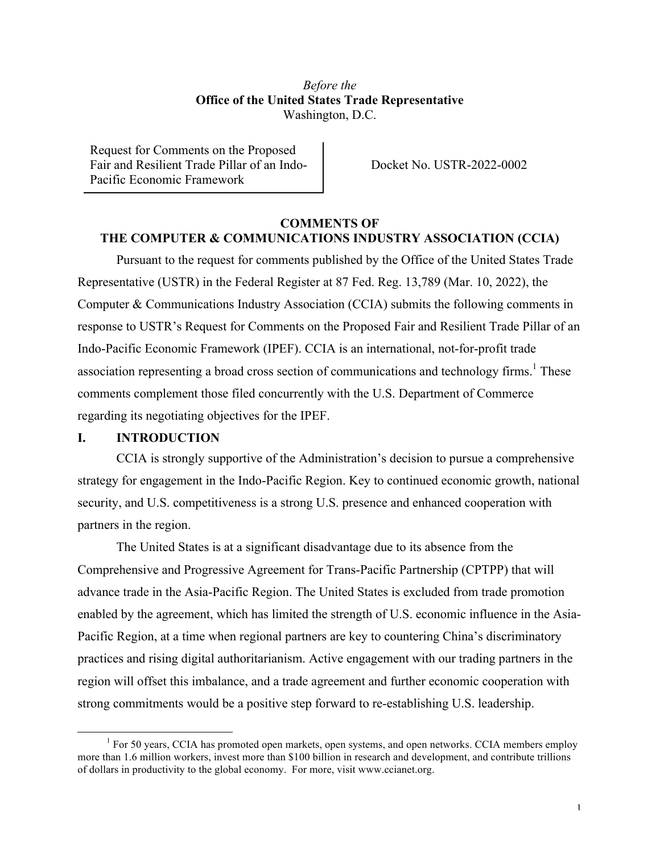# *Before the* **Office of the United States Trade Representative** Washington, D.C.

Request for Comments on the Proposed Fair and Resilient Trade Pillar of an Indo-Pacific Economic Framework

Docket No. USTR-2022-0002

### **COMMENTS OF THE COMPUTER & COMMUNICATIONS INDUSTRY ASSOCIATION (CCIA)**

Pursuant to the request for comments published by the Office of the United States Trade Representative (USTR) in the Federal Register at 87 Fed. Reg. 13,789 (Mar. 10, 2022), the Computer & Communications Industry Association (CCIA) submits the following comments in response to USTR's Request for Comments on the Proposed Fair and Resilient Trade Pillar of an Indo-Pacific Economic Framework (IPEF). CCIA is an international, not-for-profit trade association representing a broad cross section of communications and technology firms.<sup>1</sup> These comments complement those filed concurrently with the U.S. Department of Commerce regarding its negotiating objectives for the IPEF.

#### **I. INTRODUCTION**

CCIA is strongly supportive of the Administration's decision to pursue a comprehensive strategy for engagement in the Indo-Pacific Region. Key to continued economic growth, national security, and U.S. competitiveness is a strong U.S. presence and enhanced cooperation with partners in the region.

The United States is at a significant disadvantage due to its absence from the Comprehensive and Progressive Agreement for Trans-Pacific Partnership (CPTPP) that will advance trade in the Asia-Pacific Region. The United States is excluded from trade promotion enabled by the agreement, which has limited the strength of U.S. economic influence in the Asia-Pacific Region, at a time when regional partners are key to countering China's discriminatory practices and rising digital authoritarianism. Active engagement with our trading partners in the region will offset this imbalance, and a trade agreement and further economic cooperation with strong commitments would be a positive step forward to re-establishing U.S. leadership.

 $<sup>1</sup>$  For 50 years, CCIA has promoted open markets, open systems, and open networks. CCIA members employ</sup> more than 1.6 million workers, invest more than \$100 billion in research and development, and contribute trillions of dollars in productivity to the global economy. For more, visit www.ccianet.org.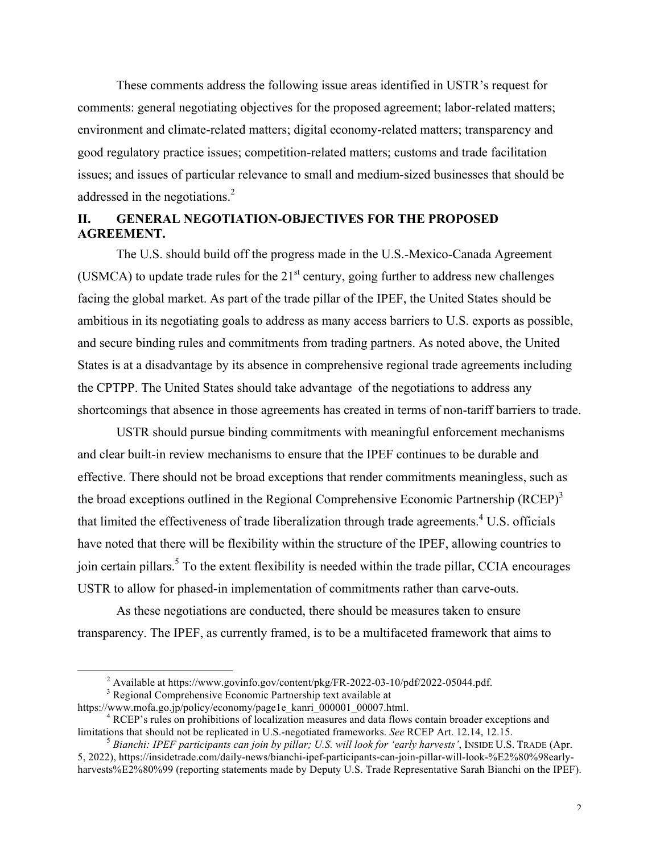These comments address the following issue areas identified in USTR's request for comments: general negotiating objectives for the proposed agreement; labor-related matters; environment and climate-related matters; digital economy-related matters; transparency and good regulatory practice issues; competition-related matters; customs and trade facilitation issues; and issues of particular relevance to small and medium-sized businesses that should be addressed in the negotiations.<sup>2</sup>

# **II. GENERAL NEGOTIATION-OBJECTIVES FOR THE PROPOSED AGREEMENT.**

The U.S. should build off the progress made in the U.S.-Mexico-Canada Agreement (USMCA) to update trade rules for the  $21<sup>st</sup>$  century, going further to address new challenges facing the global market. As part of the trade pillar of the IPEF, the United States should be ambitious in its negotiating goals to address as many access barriers to U.S. exports as possible, and secure binding rules and commitments from trading partners. As noted above, the United States is at a disadvantage by its absence in comprehensive regional trade agreements including the CPTPP. The United States should take advantage of the negotiations to address any shortcomings that absence in those agreements has created in terms of non-tariff barriers to trade.

USTR should pursue binding commitments with meaningful enforcement mechanisms and clear built-in review mechanisms to ensure that the IPEF continues to be durable and effective. There should not be broad exceptions that render commitments meaningless, such as the broad exceptions outlined in the Regional Comprehensive Economic Partnership (RCEP)<sup>3</sup> that limited the effectiveness of trade liberalization through trade agreements.<sup>4</sup> U.S. officials have noted that there will be flexibility within the structure of the IPEF, allowing countries to join certain pillars.<sup>5</sup> To the extent flexibility is needed within the trade pillar, CCIA encourages USTR to allow for phased-in implementation of commitments rather than carve-outs.

As these negotiations are conducted, there should be measures taken to ensure transparency. The IPEF, as currently framed, is to be a multifaceted framework that aims to

<sup>&</sup>lt;sup>2</sup> Available at https://www.govinfo.gov/content/pkg/FR-2022-03-10/pdf/2022-05044.pdf.<br><sup>3</sup> Regional Comprehensive Economic Partnership text available at https://www.mofa.go.jp/policy/economy/page1e kanri 000001 00007.html

 $\rm^4$  RCEP's rules on prohibitions of localization measures and data flows contain broader exceptions and limitations that should not be replicated in U.S.-negotiated frameworks. *See* RCEP Art. 12.14, 12.15.<br><sup>5</sup> *Bianchi: IPEF participants can join by pillar; U.S. will look for 'early harvests'*, INSIDE U.S. TRADE (Apr.

<sup>5, 2022),</sup> https://insidetrade.com/daily-news/bianchi-ipef-participants-can-join-pillar-will-look-%E2%80%98earlyharvests%E2%80%99 (reporting statements made by Deputy U.S. Trade Representative Sarah Bianchi on the IPEF).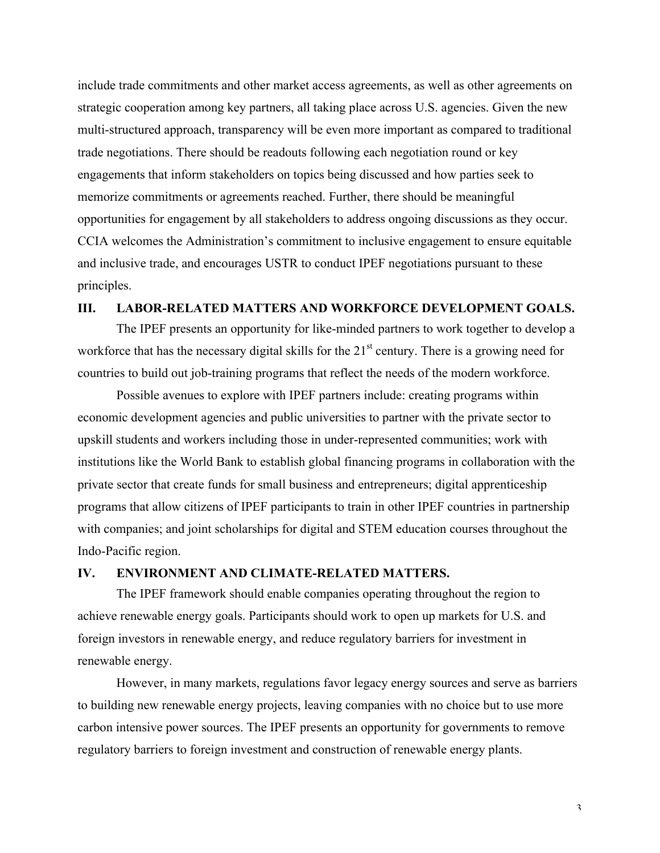include trade commitments and other market access agreements, as well as other agreements on strategic cooperation among key partners, all taking place across U.S. agencies. Given the new multi-structured approach, transparency will be even more important as compared to traditional trade negotiations. There should be readouts following each negotiation round or key engagements that inform stakeholders on topics being discussed and how parties seek to memorize commitments or agreements reached. Further, there should be meaningful opportunities for engagement by all stakeholders to address ongoing discussions as they occur. CCIA welcomes the Administration's commitment to inclusive engagement to ensure equitable and inclusive trade, and encourages USTR to conduct IPEF negotiations pursuant to these principles.

### **III. LABOR-RELATED MATTERS AND WORKFORCE DEVELOPMENT GOALS.**

The IPEF presents an opportunity for like-minded partners to work together to develop a workforce that has the necessary digital skills for the  $21<sup>st</sup>$  century. There is a growing need for countries to build out job-training programs that reflect the needs of the modern workforce.

Possible avenues to explore with IPEF partners include: creating programs within economic development agencies and public universities to partner with the private sector to upskill students and workers including those in under-represented communities; work with institutions like the World Bank to establish global financing programs in collaboration with the private sector that create funds for small business and entrepreneurs; digital apprenticeship programs that allow citizens of IPEF participants to train in other IPEF countries in partnership with companies; and joint scholarships for digital and STEM education courses throughout the Indo-Pacific region.

#### **IV. ENVIRONMENT AND CLIMATE-RELATED MATTERS.**

The IPEF framework should enable companies operating throughout the region to achieve renewable energy goals. Participants should work to open up markets for U.S. and foreign investors in renewable energy, and reduce regulatory barriers for investment in renewable energy.

However, in many markets, regulations favor legacy energy sources and serve as barriers to building new renewable energy projects, leaving companies with no choice but to use more carbon intensive power sources. The IPEF presents an opportunity for governments to remove regulatory barriers to foreign investment and construction of renewable energy plants.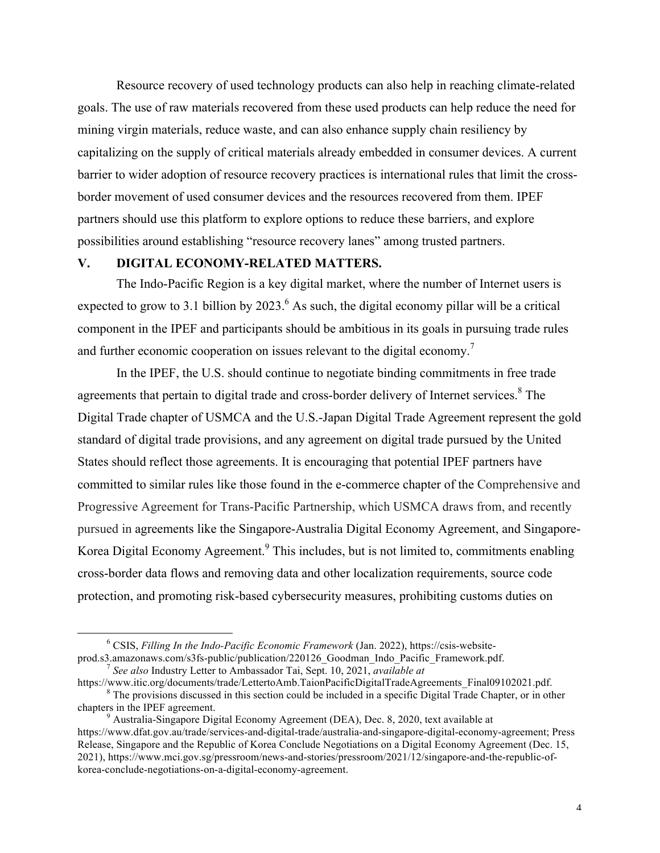Resource recovery of used technology products can also help in reaching climate-related goals. The use of raw materials recovered from these used products can help reduce the need for mining virgin materials, reduce waste, and can also enhance supply chain resiliency by capitalizing on the supply of critical materials already embedded in consumer devices. A current barrier to wider adoption of resource recovery practices is international rules that limit the crossborder movement of used consumer devices and the resources recovered from them. IPEF partners should use this platform to explore options to reduce these barriers, and explore possibilities around establishing "resource recovery lanes" among trusted partners.

# **V. DIGITAL ECONOMY-RELATED MATTERS.**

The Indo-Pacific Region is a key digital market, where the number of Internet users is expected to grow to 3.1 billion by  $2023<sup>6</sup>$ . As such, the digital economy pillar will be a critical component in the IPEF and participants should be ambitious in its goals in pursuing trade rules and further economic cooperation on issues relevant to the digital economy.<sup>7</sup>

In the IPEF, the U.S. should continue to negotiate binding commitments in free trade agreements that pertain to digital trade and cross-border delivery of Internet services.<sup>8</sup> The Digital Trade chapter of USMCA and the U.S.-Japan Digital Trade Agreement represent the gold standard of digital trade provisions, and any agreement on digital trade pursued by the United States should reflect those agreements. It is encouraging that potential IPEF partners have committed to similar rules like those found in the e-commerce chapter of the Comprehensive and Progressive Agreement for Trans-Pacific Partnership, which USMCA draws from, and recently pursued in agreements like the Singapore-Australia Digital Economy Agreement, and Singapore-Korea Digital Economy Agreement.<sup>9</sup> This includes, but is not limited to, commitments enabling cross-border data flows and removing data and other localization requirements, source code protection, and promoting risk-based cybersecurity measures, prohibiting customs duties on

 <sup>6</sup> CSIS, *Filling In the Indo-Pacific Economic Framework* (Jan. 2022), https://csis-websiteprod.s3.amazonaws.com/s3fs-public/publication/220126\_Goodman\_Indo\_Pacific\_Framework.pdf. <sup>7</sup> *See also* Industry Letter to Ambassador Tai, Sept. 10, 2021, *available at*

https://www.itic.org/documents/trade/LettertoAmb.TaionPacificDigitalTradeAgreements\_Final09102021.pdf. <sup>8</sup> The provisions discussed in this section could be included in a specific Digital Trade Chapter, or in other chapter

<sup>&</sup>lt;sup>9</sup> Australia-Singapore Digital Economy Agreement (DEA), Dec. 8, 2020, text available at https://www.dfat.gov.au/trade/services-and-digital-trade/australia-and-singapore-digital-economy-agreement; Press Release, Singapore and the Republic of Korea Conclude Negotiations on a Digital Economy Agreement (Dec. 15, 2021), https://www.mci.gov.sg/pressroom/news-and-stories/pressroom/2021/12/singapore-and-the-republic-ofkorea-conclude-negotiations-on-a-digital-economy-agreement.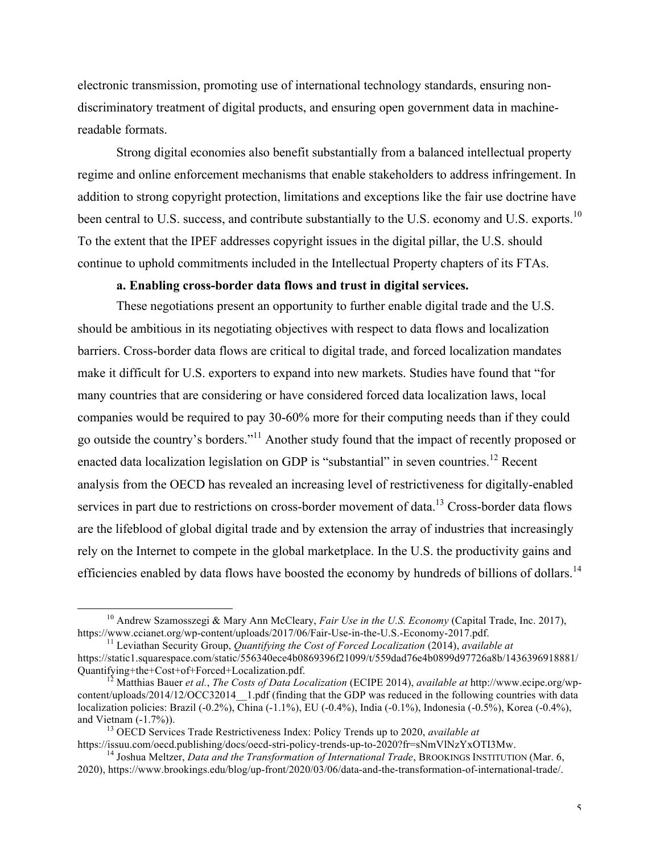electronic transmission, promoting use of international technology standards, ensuring nondiscriminatory treatment of digital products, and ensuring open government data in machinereadable formats.

Strong digital economies also benefit substantially from a balanced intellectual property regime and online enforcement mechanisms that enable stakeholders to address infringement. In addition to strong copyright protection, limitations and exceptions like the fair use doctrine have been central to U.S. success, and contribute substantially to the U.S. economy and U.S. exports.<sup>10</sup> To the extent that the IPEF addresses copyright issues in the digital pillar, the U.S. should continue to uphold commitments included in the Intellectual Property chapters of its FTAs.

### **a. Enabling cross-border data flows and trust in digital services.**

These negotiations present an opportunity to further enable digital trade and the U.S. should be ambitious in its negotiating objectives with respect to data flows and localization barriers. Cross-border data flows are critical to digital trade, and forced localization mandates make it difficult for U.S. exporters to expand into new markets. Studies have found that "for many countries that are considering or have considered forced data localization laws, local companies would be required to pay 30-60% more for their computing needs than if they could go outside the country's borders."11 Another study found that the impact of recently proposed or enacted data localization legislation on GDP is "substantial" in seven countries.<sup>12</sup> Recent analysis from the OECD has revealed an increasing level of restrictiveness for digitally-enabled services in part due to restrictions on cross-border movement of data.<sup>13</sup> Cross-border data flows are the lifeblood of global digital trade and by extension the array of industries that increasingly rely on the Internet to compete in the global marketplace. In the U.S. the productivity gains and efficiencies enabled by data flows have boosted the economy by hundreds of billions of dollars.<sup>14</sup>

<sup>&</sup>lt;sup>10</sup> Andrew Szamosszegi & Mary Ann McCleary, *Fair Use in the U.S. Economy* (Capital Trade, Inc. 2017), https://www.ccianet.org/wp-content/uploads/2017/06/Fair-Use-in-the-U.S.-Economy-2017.pdf.

<sup>&</sup>lt;sup>11</sup> Leviathan Security Group, *Quantifying the Cost of Forced Localization* (2014), *available at* https://static1.squarespace.com/static/556340ece4b0869396f21099/t/559dad76e4b0899d97726a8b/1436396918881/<br>Quantifying+the+Cost+of+Forced+Localization.pdf.

<sup>&</sup>lt;sup>12</sup> Matthias Bauer *et al., The Costs of Data Localization* (ECIPE 2014), *available at* http://www.ecipe.org/wpcontent/uploads/2014/12/OCC32014 1.pdf (finding that the GDP was reduced in the following countries with data localization policies: Brazil (-0.2%), China (-1.1%), EU (-0.4%), India (-0.1%), Indonesia (-0.5%), Korea (-0.4%),

and Vietnam (-1.7%)).<br><sup>13</sup> OECD Services Trade Restrictiveness Index: Policy Trends up to 2020, *available at*<br>https://issuu.com/oecd.publishing/docs/oecd-stri-policy-trends-up-to-2020?fr=sNmVlNzYxOTI3Mw.

<sup>&</sup>lt;sup>14</sup> Joshua Meltzer. *Data and the Transformation of International Trade*, BROOKINGS INSTITUTION (Mar. 6, 2020), https://www.brookings.edu/blog/up-front/2020/03/06/data-and-the-transformation-of-international-trade/.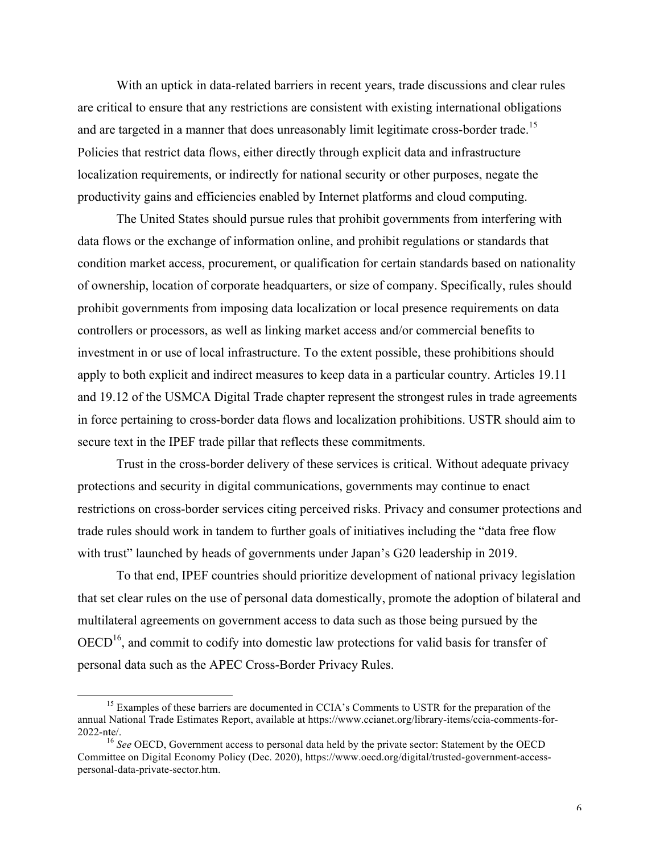With an uptick in data-related barriers in recent years, trade discussions and clear rules are critical to ensure that any restrictions are consistent with existing international obligations and are targeted in a manner that does unreasonably limit legitimate cross-border trade.<sup>15</sup> Policies that restrict data flows, either directly through explicit data and infrastructure localization requirements, or indirectly for national security or other purposes, negate the productivity gains and efficiencies enabled by Internet platforms and cloud computing.

The United States should pursue rules that prohibit governments from interfering with data flows or the exchange of information online, and prohibit regulations or standards that condition market access, procurement, or qualification for certain standards based on nationality of ownership, location of corporate headquarters, or size of company. Specifically, rules should prohibit governments from imposing data localization or local presence requirements on data controllers or processors, as well as linking market access and/or commercial benefits to investment in or use of local infrastructure. To the extent possible, these prohibitions should apply to both explicit and indirect measures to keep data in a particular country. Articles 19.11 and 19.12 of the USMCA Digital Trade chapter represent the strongest rules in trade agreements in force pertaining to cross-border data flows and localization prohibitions. USTR should aim to secure text in the IPEF trade pillar that reflects these commitments.

Trust in the cross-border delivery of these services is critical. Without adequate privacy protections and security in digital communications, governments may continue to enact restrictions on cross-border services citing perceived risks. Privacy and consumer protections and trade rules should work in tandem to further goals of initiatives including the "data free flow with trust" launched by heads of governments under Japan's G20 leadership in 2019.

To that end, IPEF countries should prioritize development of national privacy legislation that set clear rules on the use of personal data domestically, promote the adoption of bilateral and multilateral agreements on government access to data such as those being pursued by the  $OECD<sup>16</sup>$ , and commit to codify into domestic law protections for valid basis for transfer of personal data such as the APEC Cross-Border Privacy Rules.

<sup>&</sup>lt;sup>15</sup> Examples of these barriers are documented in CCIA's Comments to USTR for the preparation of the annual National Trade Estimates Report, available at https://www.ccianet.org/library-items/ccia-comments-for-2022-nte/. <sup>16</sup> *See* OECD, Government access to personal data held by the private sector: Statement by the OECD

Committee on Digital Economy Policy (Dec. 2020), https://www.oecd.org/digital/trusted-government-accesspersonal-data-private-sector.htm.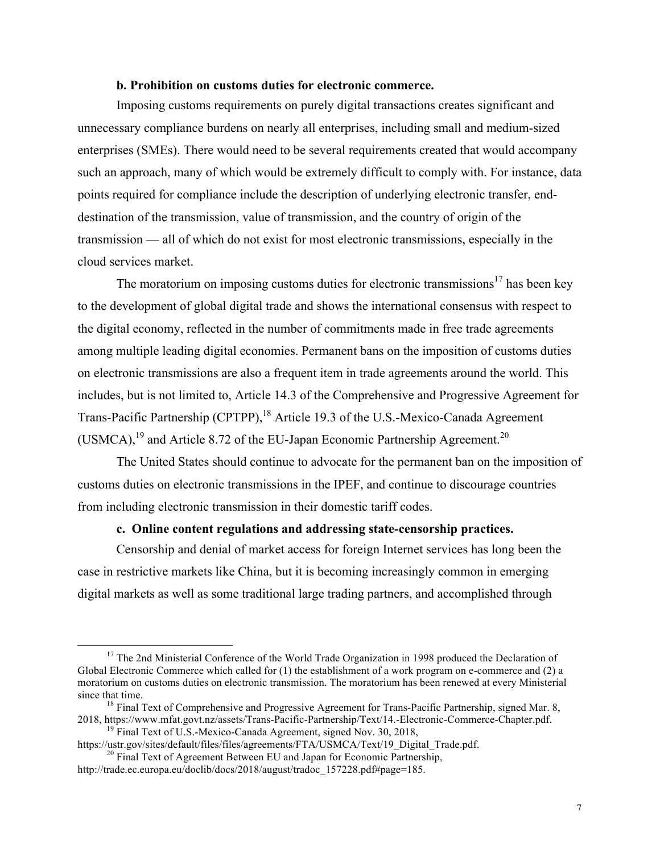#### **b. Prohibition on customs duties for electronic commerce.**

Imposing customs requirements on purely digital transactions creates significant and unnecessary compliance burdens on nearly all enterprises, including small and medium-sized enterprises (SMEs). There would need to be several requirements created that would accompany such an approach, many of which would be extremely difficult to comply with. For instance, data points required for compliance include the description of underlying electronic transfer, enddestination of the transmission, value of transmission, and the country of origin of the transmission — all of which do not exist for most electronic transmissions, especially in the cloud services market.

The moratorium on imposing customs duties for electronic transmissions<sup>17</sup> has been key to the development of global digital trade and shows the international consensus with respect to the digital economy, reflected in the number of commitments made in free trade agreements among multiple leading digital economies. Permanent bans on the imposition of customs duties on electronic transmissions are also a frequent item in trade agreements around the world. This includes, but is not limited to, Article 14.3 of the Comprehensive and Progressive Agreement for Trans-Pacific Partnership (CPTPP),<sup>18</sup> Article 19.3 of the U.S.-Mexico-Canada Agreement (USMCA), $^{19}$  and Article 8.72 of the EU-Japan Economic Partnership Agreement.<sup>20</sup>

The United States should continue to advocate for the permanent ban on the imposition of customs duties on electronic transmissions in the IPEF, and continue to discourage countries from including electronic transmission in their domestic tariff codes.

#### **c. Online content regulations and addressing state-censorship practices.**

Censorship and denial of market access for foreign Internet services has long been the case in restrictive markets like China, but it is becoming increasingly common in emerging digital markets as well as some traditional large trading partners, and accomplished through

<sup>&</sup>lt;sup>17</sup> The 2nd Ministerial Conference of the World Trade Organization in 1998 produced the Declaration of Global Electronic Commerce which called for (1) the establishment of a work program on e-commerce and (2) a moratorium on customs duties on electronic transmission. The moratorium has been renewed at every Ministerial since that time.<br><sup>18</sup> Final Text of Comprehensive and Progressive Agreement for Trans-Pacific Partnership, signed Mar. 8,

<sup>2018,</sup> https://www.mfat.govt.nz/assets/Trans-Pacific-Partnership/Text/14.-Electronic-Commerce-Chapter.pdf.<br><sup>19</sup> Final Text of U.S.-Mexico-Canada Agreement, signed Nov. 30, 2018,<br>https://ustr.gov/sites/default/files/files/ag

 $\frac{20 \text{ Final Text of Agreement Between EU and Japan for Economic Paritnership}}{20}$ 

http://trade.ec.europa.eu/doclib/docs/2018/august/tradoc\_157228.pdf#page=185.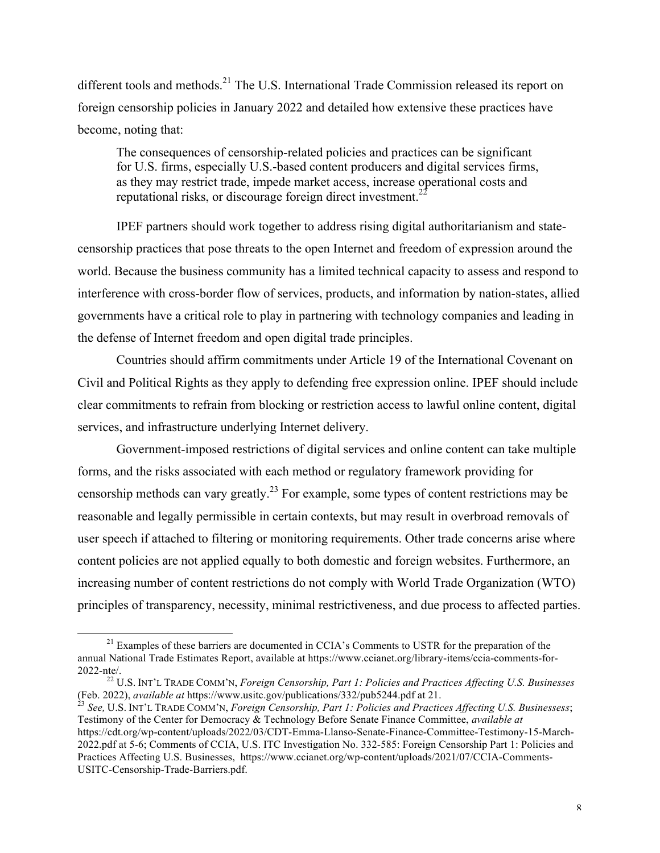different tools and methods.<sup>21</sup> The U.S. International Trade Commission released its report on foreign censorship policies in January 2022 and detailed how extensive these practices have become, noting that:

The consequences of censorship-related policies and practices can be significant for U.S. firms, especially U.S.-based content producers and digital services firms, as they may restrict trade, impede market access, increase operational costs and reputational risks, or discourage foreign direct investment.<sup>2</sup>

IPEF partners should work together to address rising digital authoritarianism and statecensorship practices that pose threats to the open Internet and freedom of expression around the world. Because the business community has a limited technical capacity to assess and respond to interference with cross-border flow of services, products, and information by nation-states, allied governments have a critical role to play in partnering with technology companies and leading in the defense of Internet freedom and open digital trade principles.

Countries should affirm commitments under Article 19 of the International Covenant on Civil and Political Rights as they apply to defending free expression online. IPEF should include clear commitments to refrain from blocking or restriction access to lawful online content, digital services, and infrastructure underlying Internet delivery.

Government-imposed restrictions of digital services and online content can take multiple forms, and the risks associated with each method or regulatory framework providing for censorship methods can vary greatly.<sup>23</sup> For example, some types of content restrictions may be reasonable and legally permissible in certain contexts, but may result in overbroad removals of user speech if attached to filtering or monitoring requirements. Other trade concerns arise where content policies are not applied equally to both domestic and foreign websites. Furthermore, an increasing number of content restrictions do not comply with World Trade Organization (WTO) principles of transparency, necessity, minimal restrictiveness, and due process to affected parties.

<sup>&</sup>lt;sup>21</sup> Examples of these barriers are documented in CCIA's Comments to USTR for the preparation of the annual National Trade Estimates Report, available at https://www.ccianet.org/library-items/ccia-comments-for-

<sup>&</sup>lt;sup>22</sup> U.S. INT'L TRADE COMM'N, *Foreign Censorship, Part 1: Policies and Practices Affecting U.S. Businesses* (Feb. 2022), *available at* https://www.usitc.gov/publications/332/pub5244.pdf at 21. <sup>23</sup> *See,* U.S. INT'L TRADE COMM'N, *Foreign Censorship, Part 1: Policies and Practices Affecting U.S. Businessess*;

Testimony of the Center for Democracy & Technology Before Senate Finance Committee, *available at* https://cdt.org/wp-content/uploads/2022/03/CDT-Emma-Llanso-Senate-Finance-Committee-Testimony-15-March-2022.pdf at 5-6; Comments of CCIA, U.S. ITC Investigation No. 332-585: Foreign Censorship Part 1: Policies and Practices Affecting U.S. Businesses, https://www.ccianet.org/wp-content/uploads/2021/07/CCIA-Comments-USITC-Censorship-Trade-Barriers.pdf.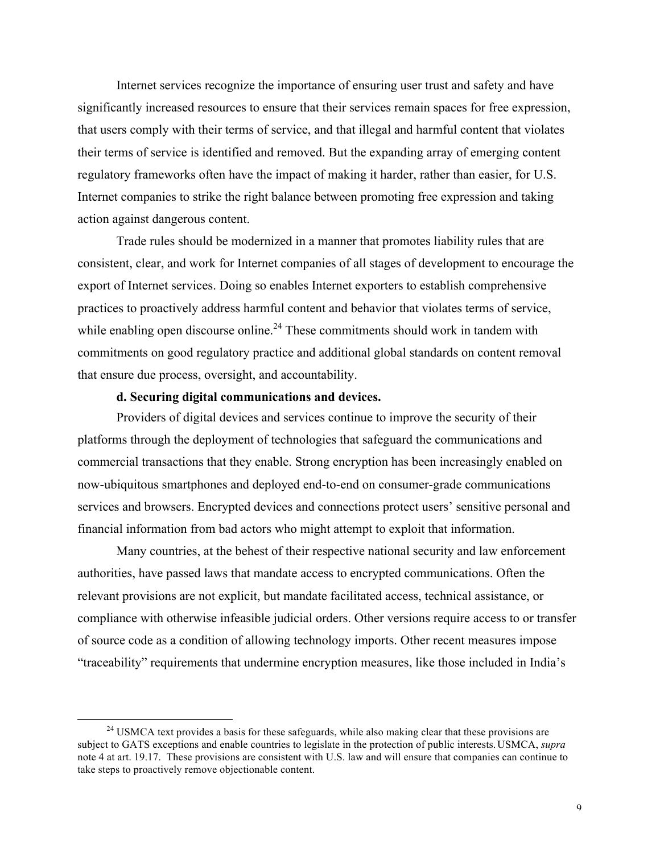Internet services recognize the importance of ensuring user trust and safety and have significantly increased resources to ensure that their services remain spaces for free expression, that users comply with their terms of service, and that illegal and harmful content that violates their terms of service is identified and removed. But the expanding array of emerging content regulatory frameworks often have the impact of making it harder, rather than easier, for U.S. Internet companies to strike the right balance between promoting free expression and taking action against dangerous content.

Trade rules should be modernized in a manner that promotes liability rules that are consistent, clear, and work for Internet companies of all stages of development to encourage the export of Internet services. Doing so enables Internet exporters to establish comprehensive practices to proactively address harmful content and behavior that violates terms of service, while enabling open discourse online.<sup>24</sup> These commitments should work in tandem with commitments on good regulatory practice and additional global standards on content removal that ensure due process, oversight, and accountability.

# **d. Securing digital communications and devices.**

Providers of digital devices and services continue to improve the security of their platforms through the deployment of technologies that safeguard the communications and commercial transactions that they enable. Strong encryption has been increasingly enabled on now-ubiquitous smartphones and deployed end-to-end on consumer-grade communications services and browsers. Encrypted devices and connections protect users' sensitive personal and financial information from bad actors who might attempt to exploit that information.

Many countries, at the behest of their respective national security and law enforcement authorities, have passed laws that mandate access to encrypted communications. Often the relevant provisions are not explicit, but mandate facilitated access, technical assistance, or compliance with otherwise infeasible judicial orders. Other versions require access to or transfer of source code as a condition of allowing technology imports. Other recent measures impose "traceability" requirements that undermine encryption measures, like those included in India's

<sup>&</sup>lt;sup>24</sup> USMCA text provides a basis for these safeguards, while also making clear that these provisions are subject to GATS exceptions and enable countries to legislate in the protection of public interests.USMCA, *supra* note 4 at art. 19.17. These provisions are consistent with U.S. law and will ensure that companies can continue to take steps to proactively remove objectionable content.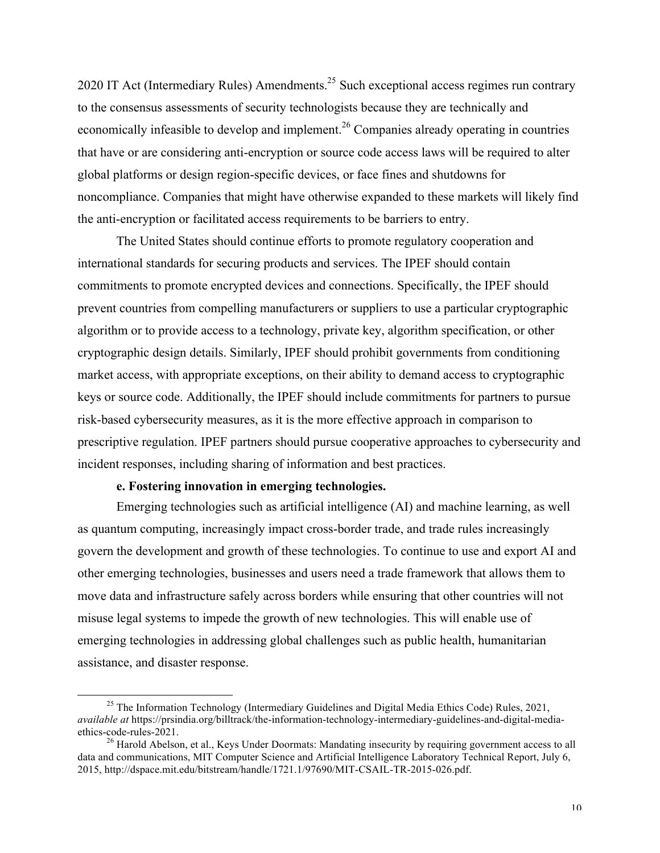2020 IT Act (Intermediary Rules) Amendments.<sup>25</sup> Such exceptional access regimes run contrary to the consensus assessments of security technologists because they are technically and economically infeasible to develop and implement.<sup>26</sup> Companies already operating in countries that have or are considering anti-encryption or source code access laws will be required to alter global platforms or design region-specific devices, or face fines and shutdowns for noncompliance. Companies that might have otherwise expanded to these markets will likely find the anti-encryption or facilitated access requirements to be barriers to entry.

The United States should continue efforts to promote regulatory cooperation and international standards for securing products and services. The IPEF should contain commitments to promote encrypted devices and connections. Specifically, the IPEF should prevent countries from compelling manufacturers or suppliers to use a particular cryptographic algorithm or to provide access to a technology, private key, algorithm specification, or other cryptographic design details. Similarly, IPEF should prohibit governments from conditioning market access, with appropriate exceptions, on their ability to demand access to cryptographic keys or source code. Additionally, the IPEF should include commitments for partners to pursue risk-based cybersecurity measures, as it is the more effective approach in comparison to prescriptive regulation. IPEF partners should pursue cooperative approaches to cybersecurity and incident responses, including sharing of information and best practices.

### **e. Fostering innovation in emerging technologies.**

Emerging technologies such as artificial intelligence (AI) and machine learning, as well as quantum computing, increasingly impact cross-border trade, and trade rules increasingly govern the development and growth of these technologies. To continue to use and export AI and other emerging technologies, businesses and users need a trade framework that allows them to move data and infrastructure safely across borders while ensuring that other countries will not misuse legal systems to impede the growth of new technologies. This will enable use of emerging technologies in addressing global challenges such as public health, humanitarian assistance, and disaster response.

<sup>&</sup>lt;sup>25</sup> The Information Technology (Intermediary Guidelines and Digital Media Ethics Code) Rules,  $2021$ , *available at* https://prsindia.org/billtrack/the-information-technology-intermediary-guidelines-and-digital-media-

 $^{26}$  Harold Abelson, et al., Keys Under Doormats: Mandating insecurity by requiring government access to all data and communications, MIT Computer Science and Artificial Intelligence Laboratory Technical Report, July 6, 2015, http://dspace.mit.edu/bitstream/handle/1721.1/97690/MIT-CSAIL-TR-2015-026.pdf.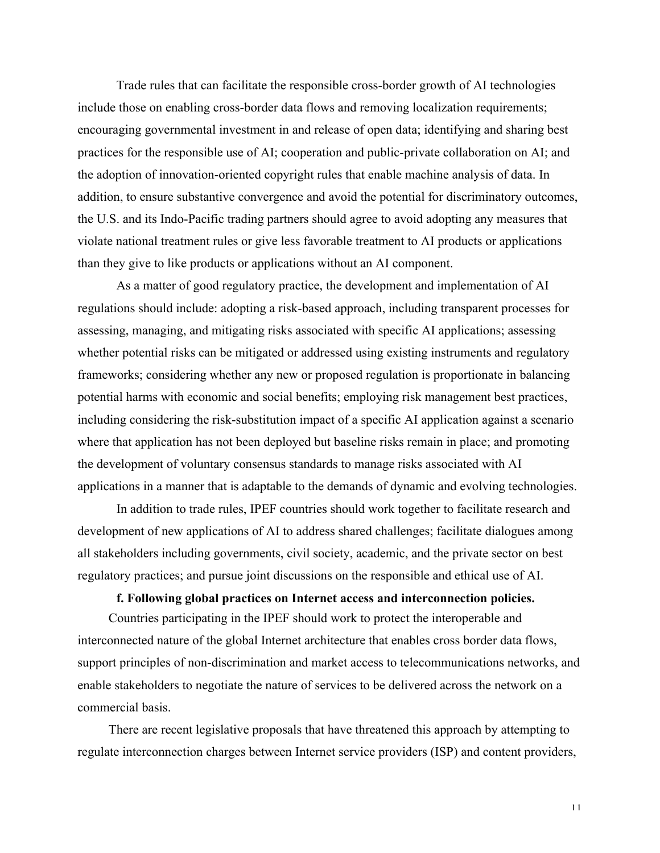Trade rules that can facilitate the responsible cross-border growth of AI technologies include those on enabling cross-border data flows and removing localization requirements; encouraging governmental investment in and release of open data; identifying and sharing best practices for the responsible use of AI; cooperation and public-private collaboration on AI; and the adoption of innovation-oriented copyright rules that enable machine analysis of data. In addition, to ensure substantive convergence and avoid the potential for discriminatory outcomes, the U.S. and its Indo-Pacific trading partners should agree to avoid adopting any measures that violate national treatment rules or give less favorable treatment to AI products or applications than they give to like products or applications without an AI component.

As a matter of good regulatory practice, the development and implementation of AI regulations should include: adopting a risk-based approach, including transparent processes for assessing, managing, and mitigating risks associated with specific AI applications; assessing whether potential risks can be mitigated or addressed using existing instruments and regulatory frameworks; considering whether any new or proposed regulation is proportionate in balancing potential harms with economic and social benefits; employing risk management best practices, including considering the risk-substitution impact of a specific AI application against a scenario where that application has not been deployed but baseline risks remain in place; and promoting the development of voluntary consensus standards to manage risks associated with AI applications in a manner that is adaptable to the demands of dynamic and evolving technologies.

In addition to trade rules, IPEF countries should work together to facilitate research and development of new applications of AI to address shared challenges; facilitate dialogues among all stakeholders including governments, civil society, academic, and the private sector on best regulatory practices; and pursue joint discussions on the responsible and ethical use of AI.

### **f. Following global practices on Internet access and interconnection policies.**

Countries participating in the IPEF should work to protect the interoperable and interconnected nature of the global Internet architecture that enables cross border data flows, support principles of non-discrimination and market access to telecommunications networks, and enable stakeholders to negotiate the nature of services to be delivered across the network on a commercial basis.

There are recent legislative proposals that have threatened this approach by attempting to regulate interconnection charges between Internet service providers (ISP) and content providers,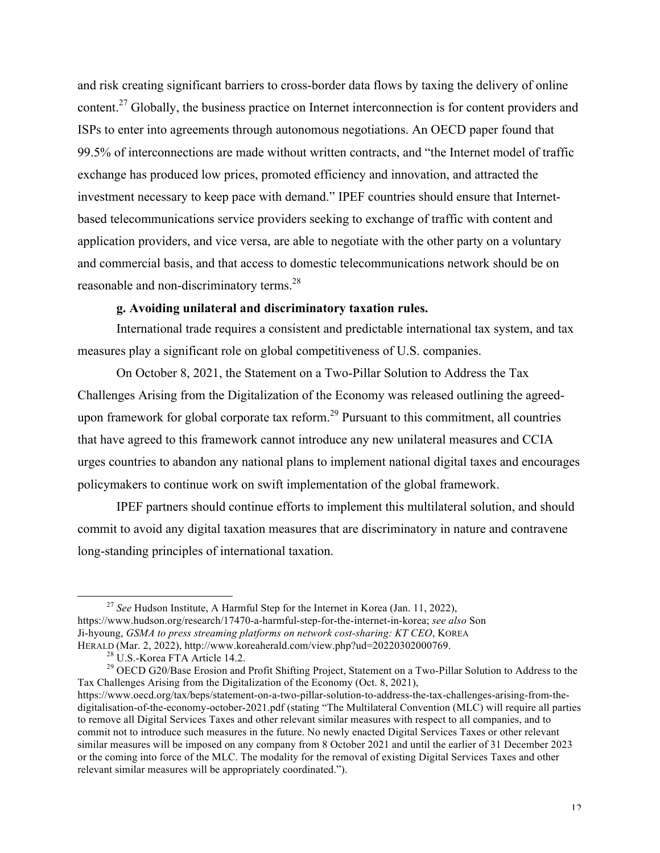and risk creating significant barriers to cross-border data flows by taxing the delivery of online content.<sup>27</sup> Globally, the business practice on Internet interconnection is for content providers and ISPs to enter into agreements through autonomous negotiations. An OECD paper found that 99.5% of interconnections are made without written contracts, and "the Internet model of traffic exchange has produced low prices, promoted efficiency and innovation, and attracted the investment necessary to keep pace with demand." IPEF countries should ensure that Internetbased telecommunications service providers seeking to exchange of traffic with content and application providers, and vice versa, are able to negotiate with the other party on a voluntary and commercial basis, and that access to domestic telecommunications network should be on reasonable and non-discriminatory terms.28

# **g. Avoiding unilateral and discriminatory taxation rules.**

International trade requires a consistent and predictable international tax system, and tax measures play a significant role on global competitiveness of U.S. companies.

On October 8, 2021, the Statement on a Two-Pillar Solution to Address the Tax Challenges Arising from the Digitalization of the Economy was released outlining the agreedupon framework for global corporate tax reform.<sup>29</sup> Pursuant to this commitment, all countries that have agreed to this framework cannot introduce any new unilateral measures and CCIA urges countries to abandon any national plans to implement national digital taxes and encourages policymakers to continue work on swift implementation of the global framework.

IPEF partners should continue efforts to implement this multilateral solution, and should commit to avoid any digital taxation measures that are discriminatory in nature and contravene long-standing principles of international taxation.

 <sup>27</sup> *See* Hudson Institute, A Harmful Step for the Internet in Korea (Jan. 11, 2022), https://www.hudson.org/research/17470-a-harmful-step-for-the-internet-in-korea; *see also* Son Ji-hyoung, *GSMA to press streaming platforms on network cost-sharing: KT CEO*, KOREA

HERALD (Mar. 2, 2022), http://www.koreaherald.com/view.php?ud=20220302000769.<br><sup>28</sup> U.S.-Korea FTA Article 14.2. <sup>29</sup> OECD G20/Base Erosion and Profit Shifting Project, Statement on a Two-Pillar Solution to Address to the Tax Challenges Arising from the Digitalization of the Economy (Oct. 8, 2021),

https://www.oecd.org/tax/beps/statement-on-a-two-pillar-solution-to-address-the-tax-challenges-arising-from-thedigitalisation-of-the-economy-october-2021.pdf (stating "The Multilateral Convention (MLC) will require all parties to remove all Digital Services Taxes and other relevant similar measures with respect to all companies, and to commit not to introduce such measures in the future. No newly enacted Digital Services Taxes or other relevant similar measures will be imposed on any company from 8 October 2021 and until the earlier of 31 December 2023 or the coming into force of the MLC. The modality for the removal of existing Digital Services Taxes and other relevant similar measures will be appropriately coordinated.").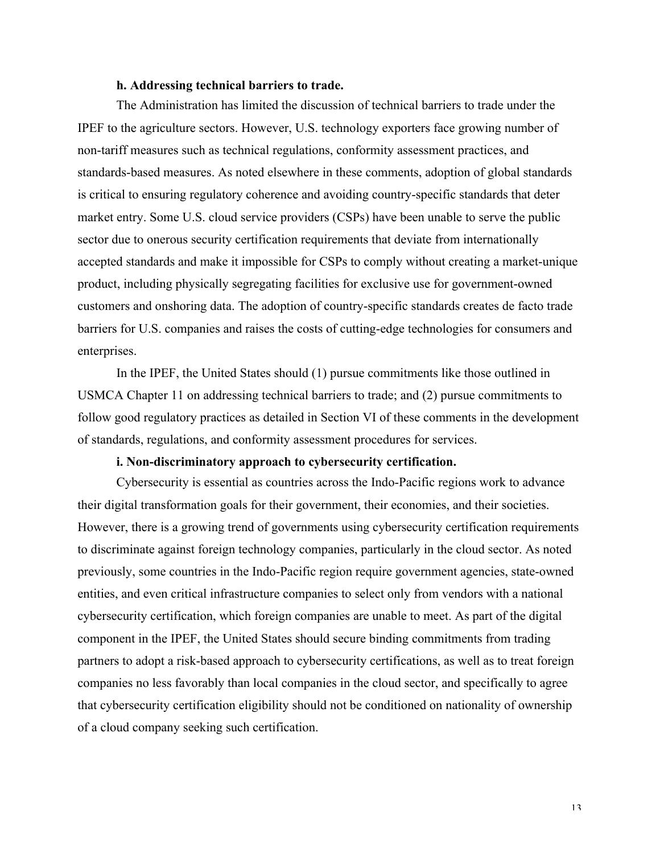#### **h. Addressing technical barriers to trade.**

The Administration has limited the discussion of technical barriers to trade under the IPEF to the agriculture sectors. However, U.S. technology exporters face growing number of non-tariff measures such as technical regulations, conformity assessment practices, and standards-based measures. As noted elsewhere in these comments, adoption of global standards is critical to ensuring regulatory coherence and avoiding country-specific standards that deter market entry. Some U.S. cloud service providers (CSPs) have been unable to serve the public sector due to onerous security certification requirements that deviate from internationally accepted standards and make it impossible for CSPs to comply without creating a market-unique product, including physically segregating facilities for exclusive use for government-owned customers and onshoring data. The adoption of country-specific standards creates de facto trade barriers for U.S. companies and raises the costs of cutting-edge technologies for consumers and enterprises.

In the IPEF, the United States should (1) pursue commitments like those outlined in USMCA Chapter 11 on addressing technical barriers to trade; and (2) pursue commitments to follow good regulatory practices as detailed in Section VI of these comments in the development of standards, regulations, and conformity assessment procedures for services.

# **i. Non-discriminatory approach to cybersecurity certification.**

Cybersecurity is essential as countries across the Indo-Pacific regions work to advance their digital transformation goals for their government, their economies, and their societies. However, there is a growing trend of governments using cybersecurity certification requirements to discriminate against foreign technology companies, particularly in the cloud sector. As noted previously, some countries in the Indo-Pacific region require government agencies, state-owned entities, and even critical infrastructure companies to select only from vendors with a national cybersecurity certification, which foreign companies are unable to meet. As part of the digital component in the IPEF, the United States should secure binding commitments from trading partners to adopt a risk-based approach to cybersecurity certifications, as well as to treat foreign companies no less favorably than local companies in the cloud sector, and specifically to agree that cybersecurity certification eligibility should not be conditioned on nationality of ownership of a cloud company seeking such certification.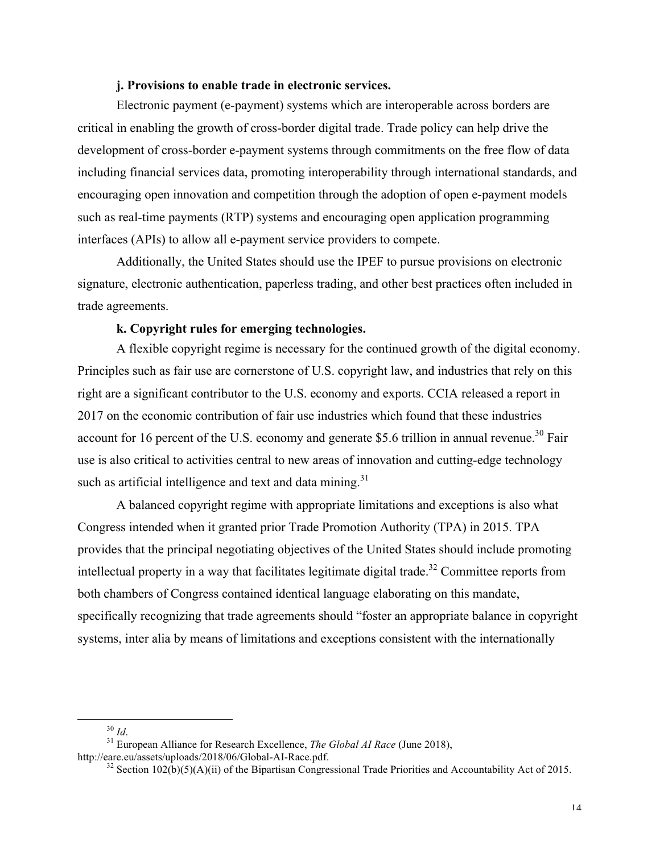### **j. Provisions to enable trade in electronic services.**

Electronic payment (e-payment) systems which are interoperable across borders are critical in enabling the growth of cross-border digital trade. Trade policy can help drive the development of cross-border e-payment systems through commitments on the free flow of data including financial services data, promoting interoperability through international standards, and encouraging open innovation and competition through the adoption of open e-payment models such as real-time payments (RTP) systems and encouraging open application programming interfaces (APIs) to allow all e-payment service providers to compete.

Additionally, the United States should use the IPEF to pursue provisions on electronic signature, electronic authentication, paperless trading, and other best practices often included in trade agreements.

# **k. Copyright rules for emerging technologies.**

A flexible copyright regime is necessary for the continued growth of the digital economy. Principles such as fair use are cornerstone of U.S. copyright law, and industries that rely on this right are a significant contributor to the U.S. economy and exports. CCIA released a report in 2017 on the economic contribution of fair use industries which found that these industries account for 16 percent of the U.S. economy and generate \$5.6 trillion in annual revenue.<sup>30</sup> Fair use is also critical to activities central to new areas of innovation and cutting-edge technology such as artificial intelligence and text and data mining. $31$ 

A balanced copyright regime with appropriate limitations and exceptions is also what Congress intended when it granted prior Trade Promotion Authority (TPA) in 2015. TPA provides that the principal negotiating objectives of the United States should include promoting intellectual property in a way that facilitates legitimate digital trade.<sup>32</sup> Committee reports from both chambers of Congress contained identical language elaborating on this mandate, specifically recognizing that trade agreements should "foster an appropriate balance in copyright systems, inter alia by means of limitations and exceptions consistent with the internationally

<sup>&</sup>lt;sup>30</sup> *Id.* <sup>31</sup> European Alliance for Research Excellence, *The Global AI Race* (June 2018), http://eare.eu/assets/uploads/2018/06/Global-AI-Race.pdf.

<sup>&</sup>lt;sup>32</sup> Section 102(b)(5)(A)(ii) of the Bipartisan Congressional Trade Priorities and Accountability Act of 2015.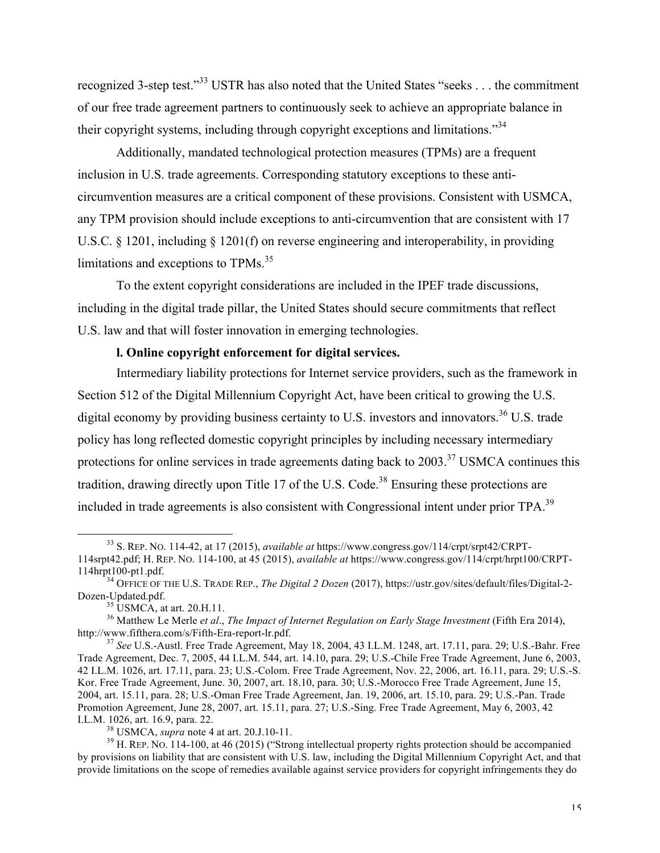recognized 3-step test."<sup>33</sup> USTR has also noted that the United States "seeks . . . the commitment of our free trade agreement partners to continuously seek to achieve an appropriate balance in their copyright systems, including through copyright exceptions and limitations."<sup>34</sup>

Additionally, mandated technological protection measures (TPMs) are a frequent inclusion in U.S. trade agreements. Corresponding statutory exceptions to these anticircumvention measures are a critical component of these provisions. Consistent with USMCA, any TPM provision should include exceptions to anti-circumvention that are consistent with 17 U.S.C. § 1201, including § 1201(f) on reverse engineering and interoperability, in providing limitations and exceptions to TPMs.<sup>35</sup>

To the extent copyright considerations are included in the IPEF trade discussions, including in the digital trade pillar, the United States should secure commitments that reflect U.S. law and that will foster innovation in emerging technologies.

# **l. Online copyright enforcement for digital services.**

Intermediary liability protections for Internet service providers, such as the framework in Section 512 of the Digital Millennium Copyright Act, have been critical to growing the U.S. digital economy by providing business certainty to U.S. investors and innovators.<sup>36</sup> U.S. trade policy has long reflected domestic copyright principles by including necessary intermediary protections for online services in trade agreements dating back to  $2003$ <sup>37</sup> USMCA continues this tradition, drawing directly upon Title 17 of the U.S. Code.<sup>38</sup> Ensuring these protections are included in trade agreements is also consistent with Congressional intent under prior TPA.<sup>39</sup>

 <sup>33</sup> S. REP. NO. 114-42, at 17 (2015), *available at* https://www.congress.gov/114/crpt/srpt42/CRPT-114srpt42.pdf; H. REP. NO. 114-100, at 45 (2015), *available at* https://www.congress.gov/114/crpt/hrpt100/CRPT-

<sup>&</sup>lt;sup>34</sup> OFFICE OF THE U.S. TRADE REP., *The Digital 2 Dozen* (2017), https://ustr.gov/sites/default/files/Digital-2-Dozen-Updated.pdf.<br><sup>35</sup> USMCA, at art. 20.H.11.

<sup>&</sup>lt;sup>36</sup> Matthew Le Merle *et al., The Impact of Internet Regulation on Early Stage Investment* (Fifth Era 2014), http://www.fifthera.com/s/Fifth-Era-report-lr.pdf.

<sup>&</sup>lt;sup>37</sup> See U.S.-Austl. Free Trade Agreement, May 18, 2004, 43 I.L.M. 1248, art. 17.11, para. 29; U.S.-Bahr. Free Trade Agreement, Dec. 7, 2005, 44 I.L.M. 544, art. 14.10, para. 29; U.S.-Chile Free Trade Agreement, June 6, 2003, 42 I.L.M. 1026, art. 17.11, para. 23; U.S.-Colom. Free Trade Agreement, Nov. 22, 2006, art. 16.11, para. 29; U.S.-S. Kor. Free Trade Agreement, June. 30, 2007, art. 18.10, para. 30; U.S.-Morocco Free Trade Agreement, June 15, 2004, art. 15.11, para. 28; U.S.-Oman Free Trade Agreement, Jan. 19, 2006, art. 15.10, para. 29; U.S.-Pan. Trade Promotion Agreement, June 28, 2007, art. 15.11, para. 27; U.S.-Sing. Free Trade Agreement, May 6, 2003, 42 I.L.M. 1026, art. 16.9, para. 22. 38 USMCA, *supra* note 4 at art. 20.J.10-11. 39 H. REP. NO. 114-100, at 46 (2015) ("Strong intellectual property rights protection should be accompanied

by provisions on liability that are consistent with U.S. law, including the Digital Millennium Copyright Act, and that provide limitations on the scope of remedies available against service providers for copyright infringements they do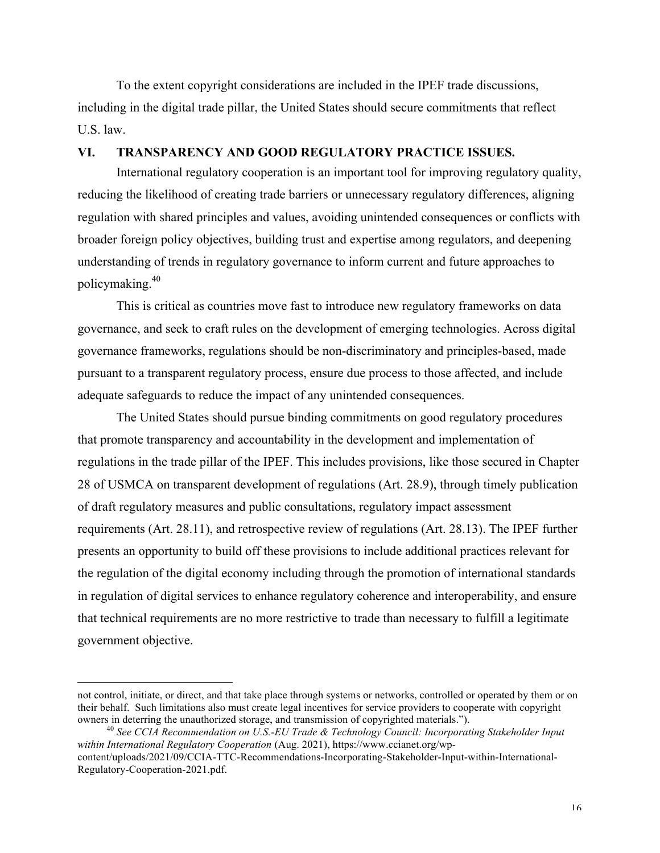To the extent copyright considerations are included in the IPEF trade discussions, including in the digital trade pillar, the United States should secure commitments that reflect U.S. law.

### **VI. TRANSPARENCY AND GOOD REGULATORY PRACTICE ISSUES.**

International regulatory cooperation is an important tool for improving regulatory quality, reducing the likelihood of creating trade barriers or unnecessary regulatory differences, aligning regulation with shared principles and values, avoiding unintended consequences or conflicts with broader foreign policy objectives, building trust and expertise among regulators, and deepening understanding of trends in regulatory governance to inform current and future approaches to policymaking.40

This is critical as countries move fast to introduce new regulatory frameworks on data governance, and seek to craft rules on the development of emerging technologies. Across digital governance frameworks, regulations should be non-discriminatory and principles-based, made pursuant to a transparent regulatory process, ensure due process to those affected, and include adequate safeguards to reduce the impact of any unintended consequences.

The United States should pursue binding commitments on good regulatory procedures that promote transparency and accountability in the development and implementation of regulations in the trade pillar of the IPEF. This includes provisions, like those secured in Chapter 28 of USMCA on transparent development of regulations (Art. 28.9), through timely publication of draft regulatory measures and public consultations, regulatory impact assessment requirements (Art. 28.11), and retrospective review of regulations (Art. 28.13). The IPEF further presents an opportunity to build off these provisions to include additional practices relevant for the regulation of the digital economy including through the promotion of international standards in regulation of digital services to enhance regulatory coherence and interoperability, and ensure that technical requirements are no more restrictive to trade than necessary to fulfill a legitimate government objective.

not control, initiate, or direct, and that take place through systems or networks, controlled or operated by them or on their behalf. Such limitations also must create legal incentives for service providers to cooperate with copyright owners in deterring the unauthorized storage, and transmission of copyrighted materials."). 40 *See CCIA Recommendation on U.S.-EU Trade & Technology Council: Incorporating Stakeholder Input* 

*within International Regulatory Cooperation* (Aug. 2021), https://www.ccianet.org/wpcontent/uploads/2021/09/CCIA-TTC-Recommendations-Incorporating-Stakeholder-Input-within-International-

Regulatory-Cooperation-2021.pdf.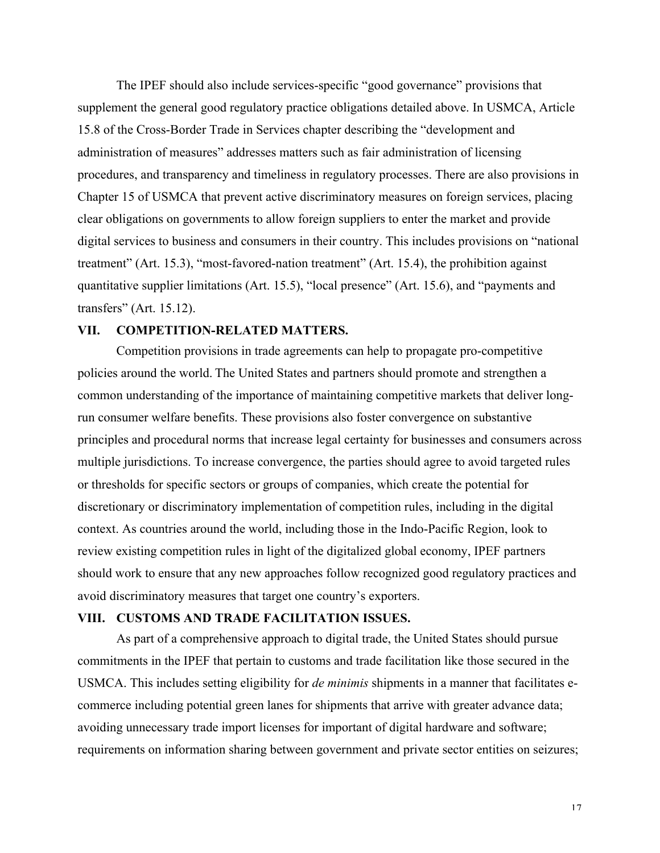The IPEF should also include services-specific "good governance" provisions that supplement the general good regulatory practice obligations detailed above. In USMCA, Article 15.8 of the Cross-Border Trade in Services chapter describing the "development and administration of measures" addresses matters such as fair administration of licensing procedures, and transparency and timeliness in regulatory processes. There are also provisions in Chapter 15 of USMCA that prevent active discriminatory measures on foreign services, placing clear obligations on governments to allow foreign suppliers to enter the market and provide digital services to business and consumers in their country. This includes provisions on "national treatment" (Art. 15.3), "most-favored-nation treatment" (Art. 15.4), the prohibition against quantitative supplier limitations (Art. 15.5), "local presence" (Art. 15.6), and "payments and transfers" (Art. 15.12).

#### **VII. COMPETITION-RELATED MATTERS.**

Competition provisions in trade agreements can help to propagate pro-competitive policies around the world. The United States and partners should promote and strengthen a common understanding of the importance of maintaining competitive markets that deliver longrun consumer welfare benefits. These provisions also foster convergence on substantive principles and procedural norms that increase legal certainty for businesses and consumers across multiple jurisdictions. To increase convergence, the parties should agree to avoid targeted rules or thresholds for specific sectors or groups of companies, which create the potential for discretionary or discriminatory implementation of competition rules, including in the digital context. As countries around the world, including those in the Indo-Pacific Region, look to review existing competition rules in light of the digitalized global economy, IPEF partners should work to ensure that any new approaches follow recognized good regulatory practices and avoid discriminatory measures that target one country's exporters.

# **VIII. CUSTOMS AND TRADE FACILITATION ISSUES.**

As part of a comprehensive approach to digital trade, the United States should pursue commitments in the IPEF that pertain to customs and trade facilitation like those secured in the USMCA. This includes setting eligibility for *de minimis* shipments in a manner that facilitates ecommerce including potential green lanes for shipments that arrive with greater advance data; avoiding unnecessary trade import licenses for important of digital hardware and software; requirements on information sharing between government and private sector entities on seizures;